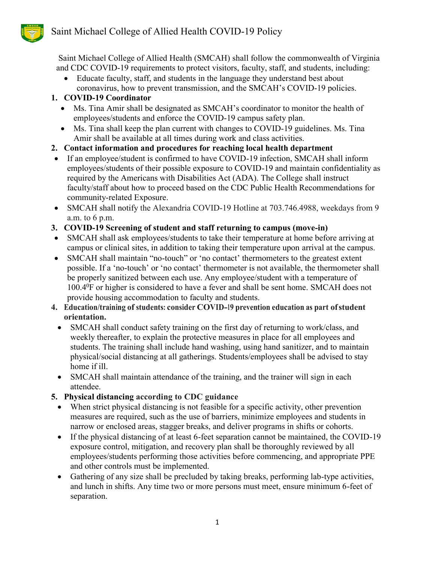

 Saint Michael College of Allied Health (SMCAH) shall follow the commonwealth of Virginia and CDC COVID-19 requirements to protect visitors, faculty, staff, and students, including:

 Educate faculty, staff, and students in the language they understand best about coronavirus, how to prevent transmission, and the SMCAH's COVID-19 policies.

# **1. COVID-19 Coordinator**

- Ms. Tina Amir shall be designated as SMCAH's coordinator to monitor the health of employees/students and enforce the COVID-19 campus safety plan.
- Ms. Tina shall keep the plan current with changes to COVID-19 guidelines. Ms. Tina Amir shall be available at all times during work and class activities.
- **2. Contact information and procedures for reaching local health department**
- If an employee/student is confirmed to have COVID-19 infection, SMCAH shall inform employees/students of their possible exposure to COVID-19 and maintain confidentiality as required by the Americans with Disabilities Act (ADA). The College shall instruct faculty/staff about how to proceed based on the CDC Public Health Recommendations for community-related Exposure.
- SMCAH shall notify the Alexandria COVID-19 Hotline at 703.746.4988, weekdays from 9 a.m. to 6 p.m.
- **3. COVID-19 Screening of student and staff returning to campus (move-in)**
- SMCAH shall ask employees/students to take their temperature at home before arriving at campus or clinical sites, in addition to taking their temperature upon arrival at the campus.
- SMCAH shall maintain "no-touch" or 'no contact' thermometers to the greatest extent possible. If a 'no-touch' or 'no contact' thermometer is not available, the thermometer shall be properly sanitized between each use. Any employee/student with a temperature of 100.4<sup>0</sup>F or higher is considered to have a fever and shall be sent home. SMCAH does not provide housing accommodation to faculty and students.
- **4. Education/training of students: consider COVID-19 prevention education as part of student orientation.** 
	- SMCAH shall conduct safety training on the first day of returning to work/class, and weekly thereafter, to explain the protective measures in place for all employees and students. The training shall include hand washing, using hand sanitizer, and to maintain physical/social distancing at all gatherings. Students/employees shall be advised to stay home if ill.
	- SMCAH shall maintain attendance of the training, and the trainer will sign in each attendee.
- **5. Physical distancing according to CDC guidance**
	- When strict physical distancing is not feasible for a specific activity, other prevention measures are required, such as the use of barriers, minimize employees and students in narrow or enclosed areas, stagger breaks, and deliver programs in shifts or cohorts.
	- If the physical distancing of at least 6-feet separation cannot be maintained, the COVID-19 exposure control, mitigation, and recovery plan shall be thoroughly reviewed by all employees/students performing those activities before commencing, and appropriate PPE and other controls must be implemented.
	- Gathering of any size shall be precluded by taking breaks, performing lab-type activities, and lunch in shifts. Any time two or more persons must meet, ensure minimum 6-feet of separation.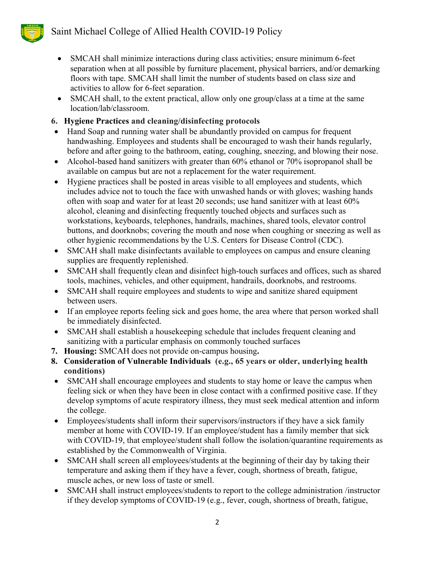

- SMCAH shall minimize interactions during class activities; ensure minimum 6-feet separation when at all possible by furniture placement, physical barriers, and/or demarking floors with tape. SMCAH shall limit the number of students based on class size and activities to allow for 6-feet separation.
- SMCAH shall, to the extent practical, allow only one group/class at a time at the same location/lab/classroom.

## **6. Hygiene Practices and cleaning/disinfecting protocols**

- Hand Soap and running water shall be abundantly provided on campus for frequent handwashing. Employees and students shall be encouraged to wash their hands regularly, before and after going to the bathroom, eating, coughing, sneezing, and blowing their nose.
- Alcohol-based hand sanitizers with greater than 60% ethanol or 70% isopropanol shall be available on campus but are not a replacement for the water requirement.
- Hygiene practices shall be posted in areas visible to all employees and students, which includes advice not to touch the face with unwashed hands or with gloves; washing hands often with soap and water for at least 20 seconds; use hand sanitizer with at least 60% alcohol, cleaning and disinfecting frequently touched objects and surfaces such as workstations, keyboards, telephones, handrails, machines, shared tools, elevator control buttons, and doorknobs; covering the mouth and nose when coughing or sneezing as well as other hygienic recommendations by the U.S. Centers for Disease Control (CDC).
- SMCAH shall make disinfectants available to employees on campus and ensure cleaning supplies are frequently replenished.
- SMCAH shall frequently clean and disinfect high-touch surfaces and offices, such as shared tools, machines, vehicles, and other equipment, handrails, doorknobs, and restrooms.
- SMCAH shall require employees and students to wipe and sanitize shared equipment between users.
- If an employee reports feeling sick and goes home, the area where that person worked shall be immediately disinfected.
- SMCAH shall establish a housekeeping schedule that includes frequent cleaning and sanitizing with a particular emphasis on commonly touched surfaces
- **7. Housing:** SMCAH does not provide on-campus housing**.**
- **8. Consideration of Vulnerable Individuals (e.g., 65 years or older, underlying health conditions)**
- SMCAH shall encourage employees and students to stay home or leave the campus when feeling sick or when they have been in close contact with a confirmed positive case. If they develop symptoms of acute respiratory illness, they must seek medical attention and inform the college.
- Employees/students shall inform their supervisors/instructors if they have a sick family member at home with COVID-19. If an employee/student has a family member that sick with COVID-19, that employee/student shall follow the isolation/quarantine requirements as established by the Commonwealth of Virginia.
- SMCAH shall screen all employees/students at the beginning of their day by taking their temperature and asking them if they have a fever, cough, shortness of breath, fatigue, muscle aches, or new loss of taste or smell.
- SMCAH shall instruct employees/students to report to the college administration /instructor if they develop symptoms of COVID-19 (e.g., fever, cough, shortness of breath, fatigue,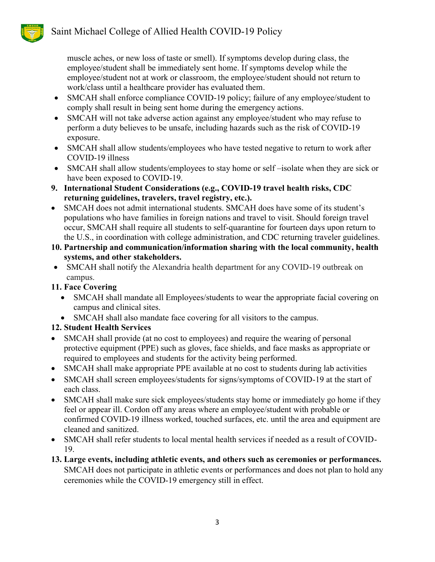muscle aches, or new loss of taste or smell). If symptoms develop during class, the employee/student shall be immediately sent home. If symptoms develop while the employee/student not at work or classroom, the employee/student should not return to work/class until a healthcare provider has evaluated them.

- SMCAH shall enforce compliance COVID-19 policy; failure of any employee/student to comply shall result in being sent home during the emergency actions.
- SMCAH will not take adverse action against any employee/student who may refuse to perform a duty believes to be unsafe, including hazards such as the risk of COVID-19 exposure.
- SMCAH shall allow students/employees who have tested negative to return to work after COVID-19 illness
- SMCAH shall allow students/employees to stay home or self –isolate when they are sick or have been exposed to COVID-19.
- **9. International Student Considerations (e.g., COVID-19 travel health risks, CDC returning guidelines, travelers, travel registry, etc.).**
- SMCAH does not admit international students. SMCAH does have some of its student's populations who have families in foreign nations and travel to visit. Should foreign travel occur, SMCAH shall require all students to self-quarantine for fourteen days upon return to the U.S., in coordination with college administration, and CDC returning traveler guidelines.
- **10. Partnership and communication/information sharing with the local community, health systems, and other stakeholders.**
- SMCAH shall notify the Alexandria health department for any COVID-19 outbreak on campus.

#### **11. Face Covering**

- SMCAH shall mandate all Employees/students to wear the appropriate facial covering on campus and clinical sites.
- SMCAH shall also mandate face covering for all visitors to the campus.

## **12. Student Health Services**

- SMCAH shall provide (at no cost to employees) and require the wearing of personal protective equipment (PPE) such as gloves, face shields, and face masks as appropriate or required to employees and students for the activity being performed.
- SMCAH shall make appropriate PPE available at no cost to students during lab activities
- SMCAH shall screen employees/students for signs/symptoms of COVID-19 at the start of each class.
- SMCAH shall make sure sick employees/students stay home or immediately go home if they feel or appear ill. Cordon off any areas where an employee/student with probable or confirmed COVID-19 illness worked, touched surfaces, etc. until the area and equipment are cleaned and sanitized.
- SMCAH shall refer students to local mental health services if needed as a result of COVID-19.
- **13. Large events, including athletic events, and others such as ceremonies or performances.**  SMCAH does not participate in athletic events or performances and does not plan to hold any ceremonies while the COVID-19 emergency still in effect.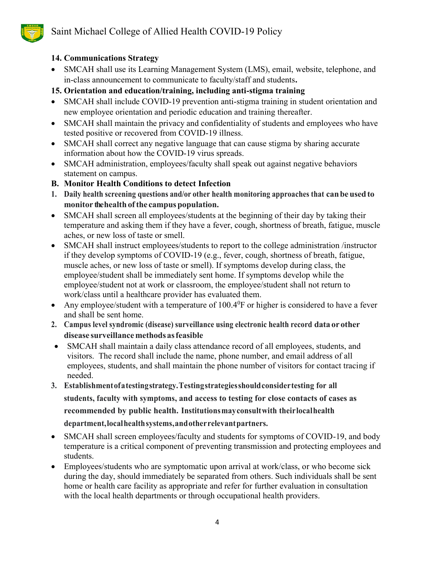

# **14. Communications Strategy**

- SMCAH shall use its Learning Management System (LMS), email, website, telephone, and in-class announcement to communicate to faculty/staff and students**.**
- **15. Orientation and education/training, including anti-stigma training**
- SMCAH shall include COVID-19 prevention anti-stigma training in student orientation and new employee orientation and periodic education and training thereafter.
- SMCAH shall maintain the privacy and confidentiality of students and employees who have tested positive or recovered from COVID-19 illness.
- SMCAH shall correct any negative language that can cause stigma by sharing accurate information about how the COVID-19 virus spreads.
- SMCAH administration, employees/faculty shall speak out against negative behaviors statement on campus.
- **B. Monitor Health Conditions to detect Infection**
- **1. Daily health screening questions and/or other health monitoring approaches that can be used to monitor the health of the campus population.**
- SMCAH shall screen all employees/students at the beginning of their day by taking their temperature and asking them if they have a fever, cough, shortness of breath, fatigue, muscle aches, or new loss of taste or smell.
- SMCAH shall instruct employees/students to report to the college administration /instructor if they develop symptoms of COVID-19 (e.g., fever, cough, shortness of breath, fatigue, muscle aches, or new loss of taste or smell). If symptoms develop during class, the employee/student shall be immediately sent home. If symptoms develop while the employee/student not at work or classroom, the employee/student shall not return to work/class until a healthcare provider has evaluated them.
- Any employee/student with a temperature of  $100.4$ <sup>0</sup>F or higher is considered to have a fever and shall be sent home.
- **2. Campus level syndromic (disease) surveillance using electronic health record data or other disease surveillance methods as feasible**
- SMCAH shall maintain a daily class attendance record of all employees, students, and visitors. The record shall include the name, phone number, and email address of all employees, students, and shall maintain the phone number of visitors for contact tracing if needed.
- **3. Establishment of a testing strategy. Testing strategies should consider testing for all students, faculty with symptoms, and access to testing for close contacts of cases as recommended by public health. Institutions may consult with their local health department, local health systems, and other relevant partners.**
- SMCAH shall screen employees/faculty and students for symptoms of COVID-19, and body temperature is a critical component of preventing transmission and protecting employees and students.
- Employees/students who are symptomatic upon arrival at work/class, or who become sick during the day, should immediately be separated from others. Such individuals shall be sent home or health care facility as appropriate and refer for further evaluation in consultation with the local health departments or through occupational health providers.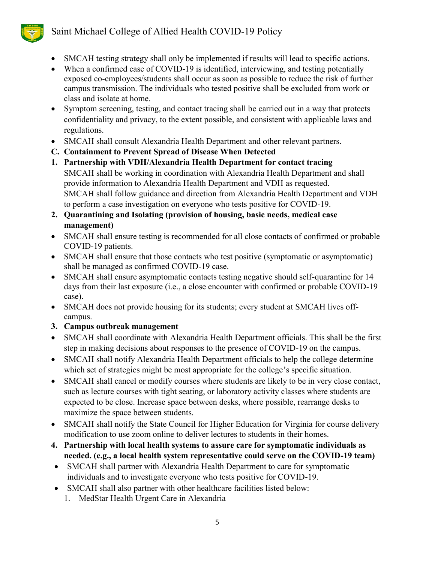# Saint Michael College of Allied Health COVID-19 Policy



- SMCAH testing strategy shall only be implemented if results will lead to specific actions.
- When a confirmed case of COVID-19 is identified, interviewing, and testing potentially exposed co-employees/students shall occur as soon as possible to reduce the risk of further campus transmission. The individuals who tested positive shall be excluded from work or class and isolate at home.
- Symptom screening, testing, and contact tracing shall be carried out in a way that protects confidentiality and privacy, to the extent possible, and consistent with applicable laws and regulations.
- SMCAH shall consult Alexandria Health Department and other relevant partners.
- **C. Containment to Prevent Spread of Disease When Detected**
- **1. Partnership with VDH/Alexandria Health Department for contact tracing** SMCAH shall be working in coordination with Alexandria Health Department and shall provide information to Alexandria Health Department and VDH as requested. SMCAH shall follow guidance and direction from Alexandria Health Department and VDH to perform a case investigation on everyone who tests positive for COVID-19.
- **2. Quarantining and Isolating (provision of housing, basic needs, medical case management)**
- SMCAH shall ensure testing is recommended for all close contacts of confirmed or probable COVID-19 patients.
- SMCAH shall ensure that those contacts who test positive (symptomatic or asymptomatic) shall be managed as confirmed COVID-19 case.
- SMCAH shall ensure asymptomatic contacts testing negative should self-quarantine for 14 days from their last exposure (i.e., a close encounter with confirmed or probable COVID-19 case).
- SMCAH does not provide housing for its students; every student at SMCAH lives offcampus.
- **3. Campus outbreak management**
- SMCAH shall coordinate with Alexandria Health Department officials. This shall be the first step in making decisions about responses to the presence of COVID-19 on the campus.
- SMCAH shall notify Alexandria Health Department officials to help the college determine which set of strategies might be most appropriate for the college's specific situation.
- SMCAH shall cancel or modify courses where students are likely to be in very close contact, such as lecture courses with tight seating, or laboratory activity classes where students are expected to be close. Increase space between desks, where possible, rearrange desks to maximize the space between students.
- SMCAH shall notify the State Council for Higher Education for Virginia for course delivery modification to use zoom online to deliver lectures to students in their homes.
- **4. Partnership with local health systems to assure care for symptomatic individuals as needed. (e.g., a local health system representative could serve on the COVID-19 team)**
- SMCAH shall partner with Alexandria Health Department to care for symptomatic individuals and to investigate everyone who tests positive for COVID-19.
- SMCAH shall also partner with other healthcare facilities listed below:
	- 1. MedStar Health Urgent Care in Alexandria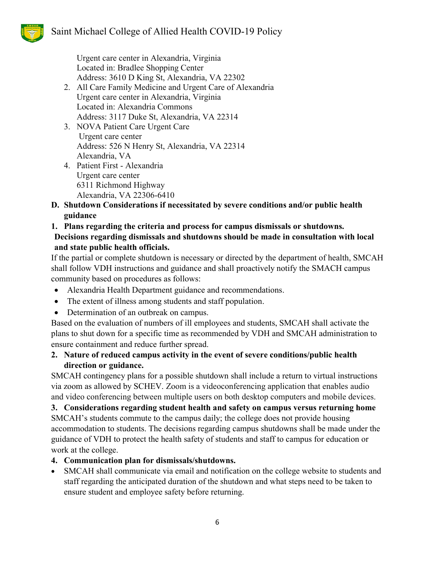Urgent care center in Alexandria, Virginia Located in: Bradlee Shopping Center Address: 3610 D King St, Alexandria, VA 22302

- 2. All Care Family Medicine and Urgent Care of Alexandria Urgent care center in Alexandria, Virginia Located in: Alexandria Commons Address: 3117 Duke St, Alexandria, VA 22314
- 3. NOVA Patient Care Urgent Care Urgent care center Address: 526 N Henry St, Alexandria, VA 22314 Alexandria, VA
- 4. Patient First Alexandria Urgent care center 6311 Richmond Highway Alexandria, VA 22306-6410
- **D. Shutdown Considerations if necessitated by severe conditions and/or public health guidance**
- **1. Plans regarding the criteria and process for campus dismissals or shutdowns. Decisions regarding dismissals and shutdowns should be made in consultation with local and state public health officials.**

If the partial or complete shutdown is necessary or directed by the department of health, SMCAH shall follow VDH instructions and guidance and shall proactively notify the SMACH campus community based on procedures as follows:

- Alexandria Health Department guidance and recommendations.
- The extent of illness among students and staff population.
- Determination of an outbreak on campus.

Based on the evaluation of numbers of ill employees and students, SMCAH shall activate the plans to shut down for a specific time as recommended by VDH and SMCAH administration to ensure containment and reduce further spread.

**2. Nature of reduced campus activity in the event of severe conditions/public health direction or guidance.** 

SMCAH contingency plans for a possible shutdown shall include a return to virtual instructions via zoom as allowed by SCHEV. Zoom is a videoconferencing application that enables audio and video conferencing between multiple users on both desktop computers and mobile devices.

**3. Considerations regarding student health and safety on campus versus returning home**  SMCAH's students commute to the campus daily; the college does not provide housing accommodation to students. The decisions regarding campus shutdowns shall be made under the guidance of VDH to protect the health safety of students and staff to campus for education or work at the college.

#### **4. Communication plan for dismissals/shutdowns.**

 SMCAH shall communicate via email and notification on the college website to students and staff regarding the anticipated duration of the shutdown and what steps need to be taken to ensure student and employee safety before returning.